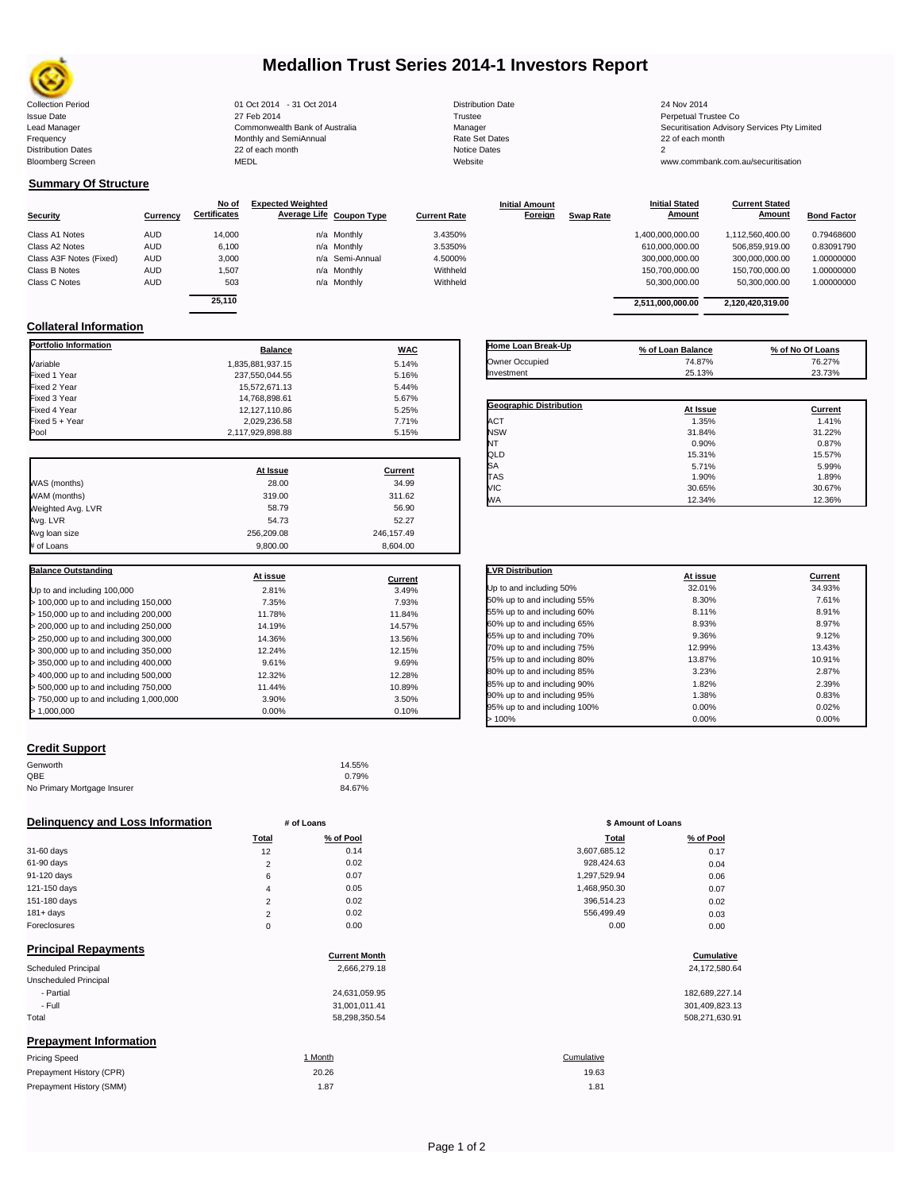

# **Medallion Trust Series 2014-1 Investors Report**

| <b>Collection Period</b>  | 01 Oct 2014 - 31 Oct 2014      | <b>Distribution Date</b> | 24 Nov 2014                             |
|---------------------------|--------------------------------|--------------------------|-----------------------------------------|
| <b>Issue Date</b>         | 27 Feb 2014                    | Trustee                  | Perpetual Trustee Co                    |
| Lead Manager              | Commonwealth Bank of Australia | Manager                  | Securitisation Advisory Services Pty Li |
| Frequency                 | Monthly and SemiAnnual         | Rate Set Dates           | 22 of each month                        |
| <b>Distribution Dates</b> | 22 of each month               | Notice Dates             |                                         |
| <b>Bloomberg Screen</b>   | <b>MEDL</b>                    | Website                  | www.commbank.com.au/securitisation      |
|                           |                                |                          |                                         |

**Current Stated** 

## **Summary Of Structure**

**Collateral Information**

|                         |            | No of               | <b>Expected Weighted</b> |                     | <b>Initial Amount</b> |                  | <b>Initial Stated</b> | <b>Current Stated</b> |                    |
|-------------------------|------------|---------------------|--------------------------|---------------------|-----------------------|------------------|-----------------------|-----------------------|--------------------|
| <b>Security</b>         | Currency   | <b>Certificates</b> | Average Life Coupon Type | <b>Current Rate</b> | Foreign               | <b>Swap Rate</b> | Amount                | Amount                | <b>Bond Factor</b> |
| Class A1 Notes          | AUD        | 14.000              | n/a Monthly              | 3.4350%             |                       |                  | 1.400.000.000.00      | 1.112.560.400.00      | 0.79468600         |
| Class A2 Notes          | AUD        | 6,100               | n/a Monthly              | 3.5350%             |                       |                  | 610,000,000.00        | 506,859,919.00        | 0.83091790         |
| Class A3F Notes (Fixed) | AUD        | 3.000               | n/a Semi-Annual          | 4.5000%             |                       |                  | 300,000,000.00        | 300.000.000.00        | 1.00000000         |
| Class B Notes           | AUD        | 1.507               | n/a Monthly              | Withheld            |                       |                  | 150.700.000.00        | 150.700.000.00        | 1.00000000         |
| Class C Notes           | <b>AUD</b> | 503                 | n/a Monthly              | Withheld            |                       |                  | 50,300,000.00         | 50.300.000.00         | 1.00000000         |
|                         |            | $-110$              |                          |                     |                       |                  |                       |                       |                    |

**Portfolio Information**<br> **Balance Balance WAC** Variable 5.14% Fixed 1 Year 237,550,044.55 5.16% Fixed 2 Year 15,572,671.13 5.44% Fixed 3 Year 14,768,898.61 5.67% Fixed 4 Year 12,127,110.86 5.25% 5.25% 5.25% 5.25% 5.25% 5.25% 5.25% 5.25% 5.25% 5.25% 5.25% 5.25% 5.25% 5.25%<br>12,029,236.58 5.25% 5.25% 5.25% 5.25% 5.25% 5.25% 5.25% 5.25% 5.25% 5.25% 5.25% 5.25% 5.25% 5.25% 5.25% 5.25% Fixed 5 + Year 2,029,236.58 7.71%

| ---              | .          |                                | <u>ooloogoogoogo</u> | <u>ooloonnooinno</u> |       |
|------------------|------------|--------------------------------|----------------------|----------------------|-------|
| 25,110           |            |                                | 2,511,000,000.00     | 2.120.420.319.00     |       |
| <b>Balance</b>   | <b>WAC</b> | Home Loan Break-Up             | % of Loan Balance    | % of No Of Loans     |       |
| 1,835,881,937.15 | 5.14%      | Owner Occupied                 | 74.87%               | 76.27%               |       |
| 237.550.044.55   | 5.16%      | Investment                     | 25.13%               | 23.73%               |       |
| 15.572.671.13    | 5.44%      |                                |                      |                      |       |
| 14,768,898.61    | 5.67%      |                                |                      |                      |       |
| 12,127,110.86    | 5.25%      | <b>Geographic Distribution</b> | At Issue             | Current              |       |
| 2,029,236.58     | 7.71%      | <b>ACT</b>                     | 1.35%                |                      | 1.41% |
| 2,117,929,898.88 | 5.15%      | <b>NSW</b>                     | 31.84%               | 31.22%               |       |
|                  |            | NT                             | 0.90%                |                      | 0.87% |
|                  |            | QLD                            | 15.31%               | 15.57%               |       |

 $SA$  5.71% 5.99% TAS 1.90% 1.89% VIC 30.65% 30.67% WA 12.34% 12.36%

**Initial Stated** 

|                                       | At Issue   | Current    |
|---------------------------------------|------------|------------|
| WAS (months)                          | 28.00      | 34.99      |
| WAM (months)                          | 319.00     | 311.62     |
| Weighted Avg. LVR                     | 58.79      | 56.90      |
| Avg. LVR                              | 54.73      | 52.27      |
| Avg loan size                         | 256.209.08 | 246.157.49 |
| # of Loans                            | 9.800.00   | 8.604.00   |
|                                       |            |            |
|                                       |            |            |
| <b>Balance Outstanding</b>            | At issue   | Current    |
| Up to and including 100,000           | 2.81%      | 3.49%      |
| > 100,000 up to and including 150,000 | 7.35%      | 7.93%      |
| > 150,000 up to and including 200,000 | 11.78%     | 11.84%     |
| > 200,000 up to and including 250,000 | 14.19%     | 14.57%     |

| <b>Balance Outstanding</b>            | At issue |                  | <b>LVR Distribution</b>      |  |
|---------------------------------------|----------|------------------|------------------------------|--|
| Jp to and including 100,000           | 2.81%    | Current<br>3.49% | Up to and including 50%      |  |
| > 100,000 up to and including 150,000 | 7.35%    | 7.93%            | 50% up to and including 55%  |  |
| 150,000 up to and including 200,000   | 11.78%   | 11.84%           | 55% up to and including 60%  |  |
| > 200,000 up to and including 250,000 | 14.19%   | 14.57%           | 60% up to and including 65%  |  |
| > 250,000 up to and including 300,000 | 14.36%   | 13.56%           | 65% up to and including 70%  |  |
| > 300,000 up to and including 350,000 | 12.24%   | 12.15%           | 70% up to and including 75%  |  |
| > 350,000 up to and including 400,000 | 9.61%    | 9.69%            | 75% up to and including 80%  |  |
| - 400,000 up to and including 500,000 | 12.32%   | 12.28%           | 80% up to and including 85%  |  |
| 500,000 up to and including 750,000   | 11.44%   | 10.89%           | 85% up to and including 90%  |  |
| 750,000 up to and including 1,000,000 | 3.90%    | 3.50%            | 90% up to and including 95%  |  |
| - 1.000.000                           | $0.00\%$ | 0.10%            | 95% up to and including 100% |  |
|                                       |          |                  | >100%                        |  |

## **Credit Support**

| Genworth                    | 14.55% |
|-----------------------------|--------|
| QBE                         | 0.79%  |
| No Primary Mortgage Insurer | 84.67% |

### **Delinquency and Loss Information # of Loans # of Loans \$ Amount of Loans \$ Amount of Loans**

|              | Total    | % of Pool | <b>Total</b> | % of Pool |
|--------------|----------|-----------|--------------|-----------|
| 31-60 days   | 12       | 0.14      | 3,607,685.12 | 0.17      |
| 61-90 days   | C        | 0.02      | 928.424.63   | 0.04      |
| 91-120 days  | 6        | 0.07      | 1.297.529.94 | 0.06      |
| 121-150 days | 4        | 0.05      | 1,468,950.30 | 0.07      |
| 151-180 days | $\Omega$ | 0.02      | 396,514.23   | 0.02      |
| 181+ days    | ົ        | 0.02      | 556.499.49   | 0.03      |
| Foreclosures | $\Omega$ | 0.00      | 0.00         | 0.00      |
|              |          |           |              |           |

| <b>Principal Repayments</b>   |                      |                |
|-------------------------------|----------------------|----------------|
|                               | <b>Current Month</b> | Cumulative     |
| Scheduled Principal           | 2,666,279.18         | 24,172,580.64  |
| Unscheduled Principal         |                      |                |
| - Partial                     | 24,631,059.95        | 182,689,227.14 |
| - Full                        | 31,001,011.41        | 301,409,823.13 |
| Total                         | 58,298,350.54        | 508,271,630.91 |
| <b>Prepayment Information</b> |                      |                |
| <b>Pricing Speed</b>          | 1 Month              | Cumulative     |
| Prepayment History (CPR)      | 20.26                | 19.63          |
| Prepayment History (SMM)      | 1.87                 | 1.81           |

| <b>LVR Distribution</b>      | At issue | <b>Current</b> |
|------------------------------|----------|----------------|
| Up to and including 50%      | 32.01%   | 34.93%         |
| 50% up to and including 55%  | 8.30%    | 7.61%          |
| 55% up to and including 60%  | 8.11%    | 8.91%          |
| 60% up to and including 65%  | 8.93%    | 8.97%          |
| 65% up to and including 70%  | 9.36%    | 9.12%          |
| 70% up to and including 75%  | 12.99%   | 13.43%         |
| 75% up to and including 80%  | 13.87%   | 10.91%         |
| 80% up to and including 85%  | 3.23%    | 2.87%          |
| 85% up to and including 90%  | 1.82%    | 2.39%          |
| 90% up to and including 95%  | 1.38%    | 0.83%          |
| 95% up to and including 100% | 0.00%    | 0.02%          |
| >100%                        | 0.00%    | 0.00%          |

| Total          | % of Pool | <b>Total</b> | % of Pool |
|----------------|-----------|--------------|-----------|
| 12             | 0.14      | 3,607,685.12 | 0.17      |
| $\overline{2}$ | 0.02      | 928,424.63   | 0.04      |
| 6              | 0.07      | 1,297,529.94 | 0.06      |
| 4              | 0.05      | 1,468,950.30 | 0.07      |
| $\overline{2}$ | 0.02      | 396,514.23   | 0.02      |
| $\overline{2}$ | 0.02      | 556,499.49   | 0.03      |
| 0              | 0.00      | 0.00         | 0.00      |
|                |           |              |           |

| 182.689.227.14 |
|----------------|
| 301.409.823.13 |
| 508,271,630.91 |

### **1.87** 1.87 19.63